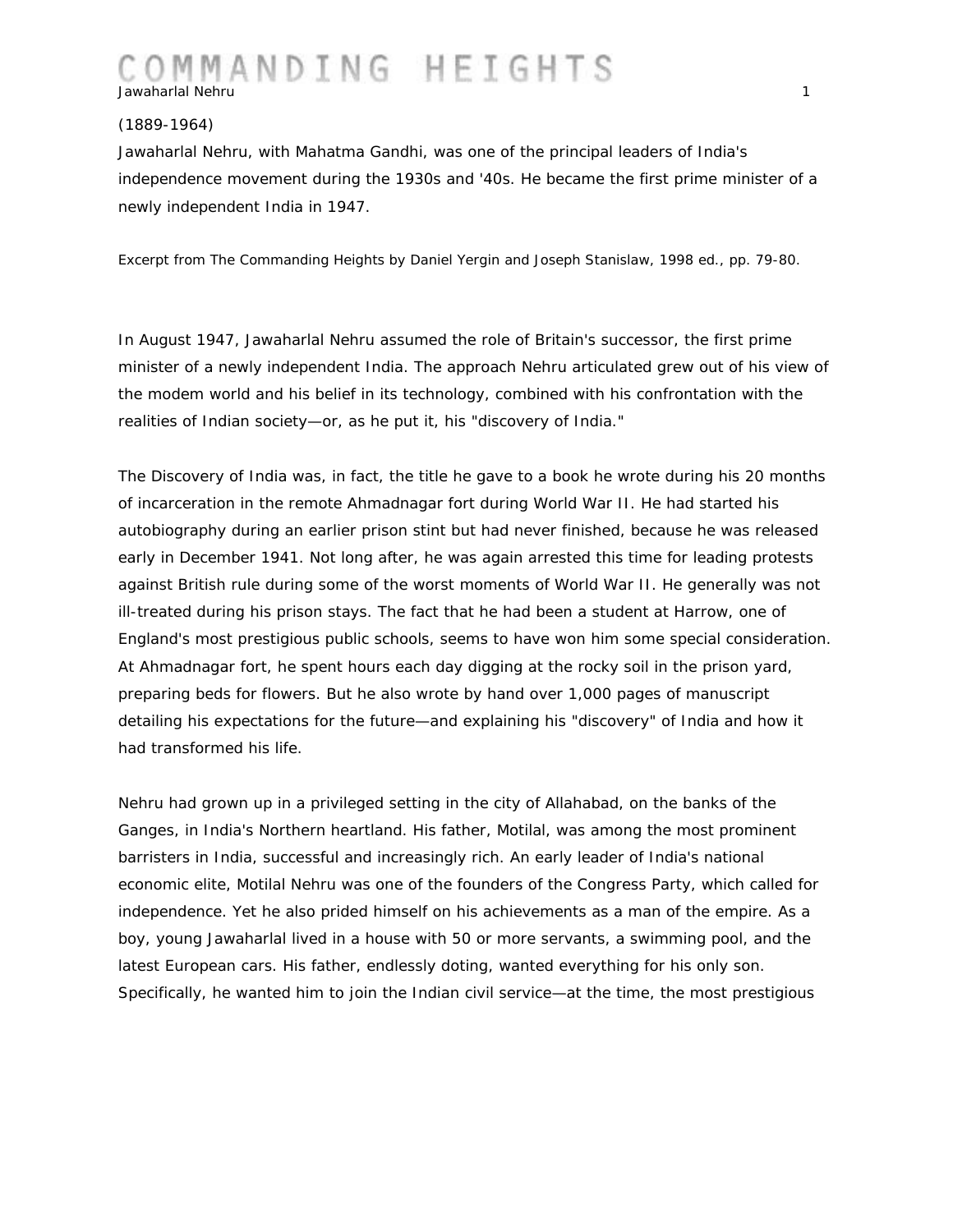## OMMANDING HEIGHTS Jawaharlal Nehru 1

#### (1889-1964)

*Jawaharlal Nehru, with Mahatma Gandhi, was one of the principal leaders of India's independence movement during the 1930s and '40s. He became the first prime minister of a newly independent India in 1947.*

Excerpt from *The Commanding Heights* by Daniel Yergin and Joseph Stanislaw, 1998 ed., pp. 79-80.

In August 1947, Jawaharlal Nehru assumed the role of Britain's successor, the first prime minister of a newly independent India. The approach Nehru articulated grew out of his view of the modem world and his belief in its technology, combined with his confrontation with the realities of Indian society—or, as he put it, his "discovery of India."

*The Discovery of India* was, in fact, the title he gave to a book he wrote during his 20 months of incarceration in the remote Ahmadnagar fort during World War II. He had started his autobiography during an earlier prison stint but had never finished, because he was released early in December 1941. Not long after, he was again arrested this time for leading protests against British rule during some of the worst moments of World War II. He generally was not ill-treated during his prison stays. The fact that he had been a student at Harrow, one of England's most prestigious public schools, seems to have won him some special consideration. At Ahmadnagar fort, he spent hours each day digging at the rocky soil in the prison yard, preparing beds for flowers. But he also wrote by hand over 1,000 pages of manuscript detailing his expectations for the future—and explaining his "discovery" of India and how it had transformed his life.

Nehru had grown up in a privileged setting in the city of Allahabad, on the banks of the Ganges, in India's Northern heartland. His father, Motilal, was among the most prominent barristers in India, successful and increasingly rich. An early leader of India's national economic elite, Motilal Nehru was one of the founders of the Congress Party, which called for independence. Yet he also prided himself on his achievements as a man of the empire. As a boy, young Jawaharlal lived in a house with 50 or more servants, a swimming pool, and the latest European cars. His father, endlessly doting, wanted everything for his only son. Specifically, he wanted him to join the Indian civil service—at the time, the most prestigious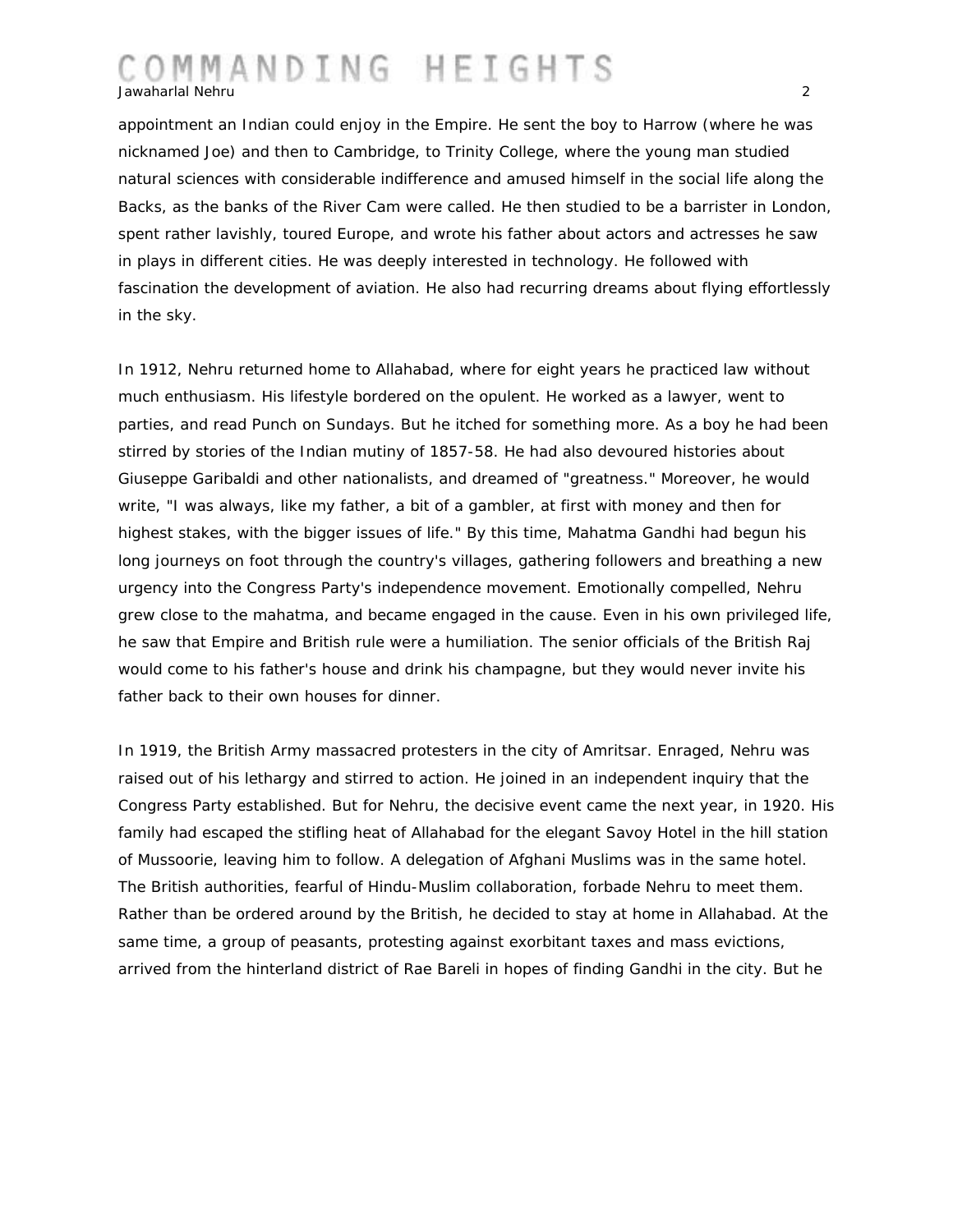# COMMANDING HEIGHTS

appointment an Indian could enjoy in the Empire. He sent the boy to Harrow (where he was nicknamed Joe) and then to Cambridge, to Trinity College, where the young man studied natural sciences with considerable indifference and amused himself in the social life along the Backs, as the banks of the River Cam were called. He then studied to be a barrister in London, spent rather lavishly, toured Europe, and wrote his father about actors and actresses he saw in plays in different cities. He was deeply interested in technology. He followed with fascination the development of aviation. He also had recurring dreams about flying effortlessly in the sky.

In 1912, Nehru returned home to Allahabad, where for eight years he practiced law without much enthusiasm. His lifestyle bordered on the opulent. He worked as a lawyer, went to parties, and read *Punch* on Sundays. But he itched for something more. As a boy he had been stirred by stories of the Indian mutiny of 1857-58. He had also devoured histories about Giuseppe Garibaldi and other nationalists, and dreamed of "greatness." Moreover, he would write, "I was always, like my father, a bit of a gambler, at first with money and then for highest stakes, with the bigger issues of life." By this time, Mahatma Gandhi had begun his long journeys on foot through the country's villages, gathering followers and breathing a new urgency into the Congress Party's independence movement. Emotionally compelled, Nehru grew close to the mahatma, and became engaged in the cause. Even in his own privileged life, he saw that Empire and British rule were a humiliation. The senior officials of the British Raj would come to his father's house and drink his champagne, but they would never invite his father back to their own houses for dinner.

In 1919, the British Army massacred protesters in the city of Amritsar. Enraged, Nehru was raised out of his lethargy and stirred to action. He joined in an independent inquiry that the Congress Party established. But for Nehru, the decisive event came the next year, in 1920. His family had escaped the stifling heat of Allahabad for the elegant Savoy Hotel in the hill station of Mussoorie, leaving him to follow. A delegation of Afghani Muslims was in the same hotel. The British authorities, fearful of Hindu-Muslim collaboration, forbade Nehru to meet them. Rather than be ordered around by the British, he decided to stay at home in Allahabad. At the same time, a group of peasants, protesting against exorbitant taxes and mass evictions, arrived from the hinterland district of Rae Bareli in hopes of finding Gandhi in the city. But he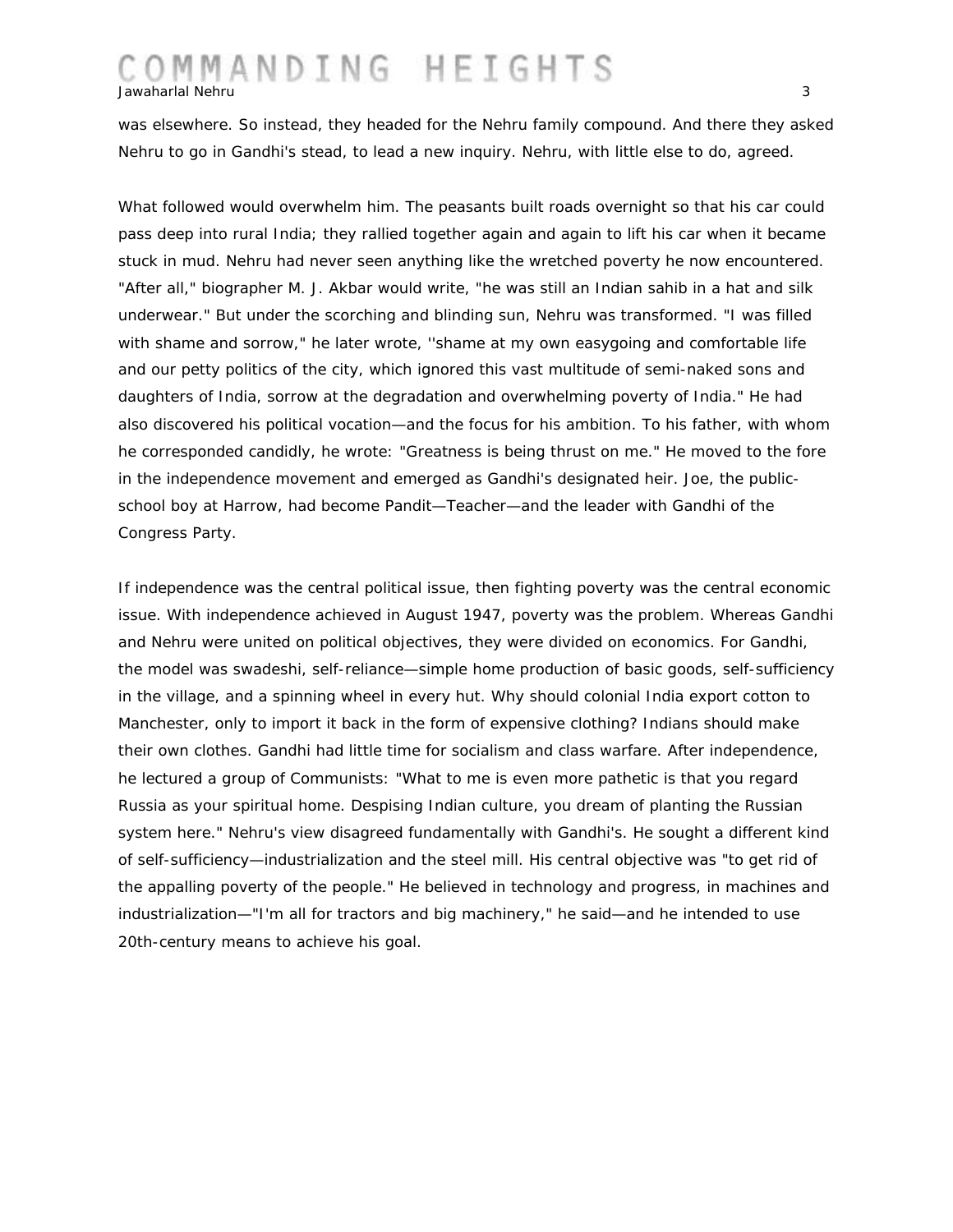### COMMANDING HEIGHTS Jawaharlal Nehru 3

was elsewhere. So instead, they headed for the Nehru family compound. And there they asked Nehru to go in Gandhi's stead, to lead a new inquiry. Nehru, with little else to do, agreed.

What followed would overwhelm him. The peasants built roads overnight so that his car could pass deep into rural India; they rallied together again and again to lift his car when it became stuck in mud. Nehru had never seen anything like the wretched poverty he now encountered. "After all," biographer M. J. Akbar would write, "he was still an Indian sahib in a hat and silk underwear." But under the scorching and blinding sun, Nehru was transformed. "I was filled with shame and sorrow," he later wrote, ''shame at my own easygoing and comfortable life and our petty politics of the city, which ignored this vast multitude of semi-naked sons and daughters of India, sorrow at the degradation and overwhelming poverty of India." He had also discovered his political vocation—and the focus for his ambition. To his father, with whom he corresponded candidly, he wrote: "Greatness is being thrust on me." He moved to the fore in the independence movement and emerged as Gandhi's designated heir. Joe, the publicschool boy at Harrow, had become Pandit—Teacher—and the leader with Gandhi of the Congress Party.

If independence was the central political issue, then fighting poverty was the central economic issue. With independence achieved in August 1947, poverty was the problem. Whereas Gandhi and Nehru were united on political objectives, they were divided on economics. For Gandhi, the model was swadeshi, self-reliance—simple home production of basic goods, self-sufficiency in the village, and a spinning wheel in every hut. Why should colonial India export cotton to Manchester, only to import it back in the form of expensive clothing? Indians should make their own clothes. Gandhi had little time for socialism and class warfare. After independence, he lectured a group of Communists: "What to me is even more pathetic is that you regard Russia as your spiritual home. Despising Indian culture, you dream of planting the Russian system here." Nehru's view disagreed fundamentally with Gandhi's. He sought a different kind of self-sufficiency—industrialization and the steel mill. His central objective was "to get rid of the appalling poverty of the people." He believed in technology and progress, in machines and industrialization—"I'm all for tractors and big machinery," he said—and he intended to use 20th-century means to achieve his goal.